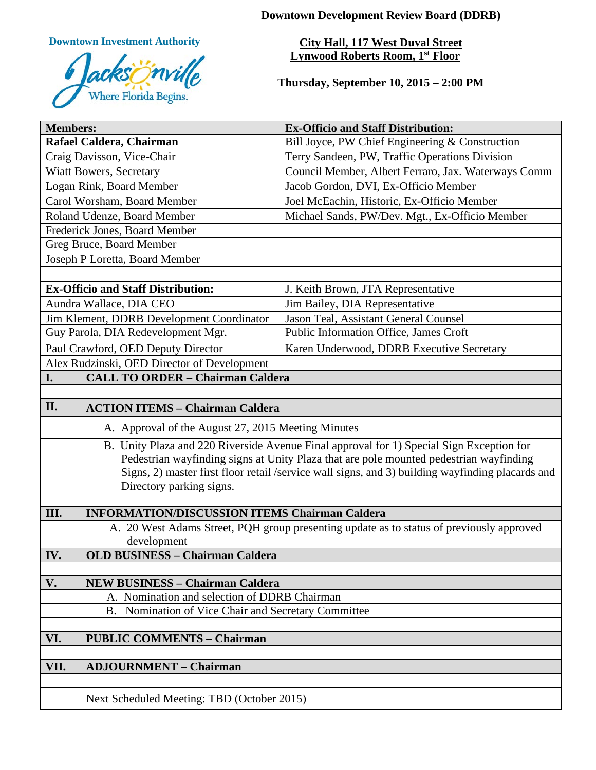**Downtown Development Review Board (DDRB)**

**Downtown Investment Authority**



**City Hall, 117 West Duval Street Lynwood Roberts Room, 1st Floor** 

**Thursday, September 10, 2015 – 2:00 PM**

| <b>Members:</b>                             |                                                                                                                                                                                            | <b>Ex-Officio and Staff Distribution:</b>           |
|---------------------------------------------|--------------------------------------------------------------------------------------------------------------------------------------------------------------------------------------------|-----------------------------------------------------|
| Rafael Caldera, Chairman                    |                                                                                                                                                                                            | Bill Joyce, PW Chief Engineering & Construction     |
| Craig Davisson, Vice-Chair                  |                                                                                                                                                                                            | Terry Sandeen, PW, Traffic Operations Division      |
| <b>Wiatt Bowers, Secretary</b>              |                                                                                                                                                                                            | Council Member, Albert Ferraro, Jax. Waterways Comm |
| Logan Rink, Board Member                    |                                                                                                                                                                                            | Jacob Gordon, DVI, Ex-Officio Member                |
| Carol Worsham, Board Member                 |                                                                                                                                                                                            | Joel McEachin, Historic, Ex-Officio Member          |
| Roland Udenze, Board Member                 |                                                                                                                                                                                            | Michael Sands, PW/Dev. Mgt., Ex-Officio Member      |
| Frederick Jones, Board Member               |                                                                                                                                                                                            |                                                     |
| Greg Bruce, Board Member                    |                                                                                                                                                                                            |                                                     |
| Joseph P Loretta, Board Member              |                                                                                                                                                                                            |                                                     |
|                                             |                                                                                                                                                                                            |                                                     |
| <b>Ex-Officio and Staff Distribution:</b>   |                                                                                                                                                                                            | J. Keith Brown, JTA Representative                  |
| Aundra Wallace, DIA CEO                     |                                                                                                                                                                                            | Jim Bailey, DIA Representative                      |
| Jim Klement, DDRB Development Coordinator   |                                                                                                                                                                                            | Jason Teal, Assistant General Counsel               |
| Guy Parola, DIA Redevelopment Mgr.          |                                                                                                                                                                                            | Public Information Office, James Croft              |
| Paul Crawford, OED Deputy Director          |                                                                                                                                                                                            | Karen Underwood, DDRB Executive Secretary           |
| Alex Rudzinski, OED Director of Development |                                                                                                                                                                                            |                                                     |
| I.                                          | <b>CALL TO ORDER - Chairman Caldera</b>                                                                                                                                                    |                                                     |
|                                             |                                                                                                                                                                                            |                                                     |
| II.                                         | <b>ACTION ITEMS - Chairman Caldera</b>                                                                                                                                                     |                                                     |
|                                             | A. Approval of the August 27, 2015 Meeting Minutes                                                                                                                                         |                                                     |
|                                             | B. Unity Plaza and 220 Riverside Avenue Final approval for 1) Special Sign Exception for                                                                                                   |                                                     |
|                                             | Pedestrian wayfinding signs at Unity Plaza that are pole mounted pedestrian wayfinding<br>Signs, 2) master first floor retail /service wall signs, and 3) building wayfinding placards and |                                                     |
|                                             | Directory parking signs.                                                                                                                                                                   |                                                     |
|                                             |                                                                                                                                                                                            |                                                     |
| III.                                        | <b>INFORMATION/DISCUSSION ITEMS Chairman Caldera</b>                                                                                                                                       |                                                     |
|                                             | A. 20 West Adams Street, PQH group presenting update as to status of previously approved                                                                                                   |                                                     |
|                                             | development                                                                                                                                                                                |                                                     |
| IV.                                         | <b>OLD BUSINESS - Chairman Caldera</b>                                                                                                                                                     |                                                     |
|                                             |                                                                                                                                                                                            |                                                     |
| V.                                          | <b>NEW BUSINESS - Chairman Caldera</b>                                                                                                                                                     |                                                     |
|                                             | A. Nomination and selection of DDRB Chairman                                                                                                                                               |                                                     |
|                                             | B. Nomination of Vice Chair and Secretary Committee                                                                                                                                        |                                                     |
| VI.                                         | <b>PUBLIC COMMENTS - Chairman</b>                                                                                                                                                          |                                                     |
|                                             |                                                                                                                                                                                            |                                                     |
| VII.<br><b>ADJOURNMENT - Chairman</b>       |                                                                                                                                                                                            |                                                     |
|                                             |                                                                                                                                                                                            |                                                     |
|                                             | Next Scheduled Meeting: TBD (October 2015)                                                                                                                                                 |                                                     |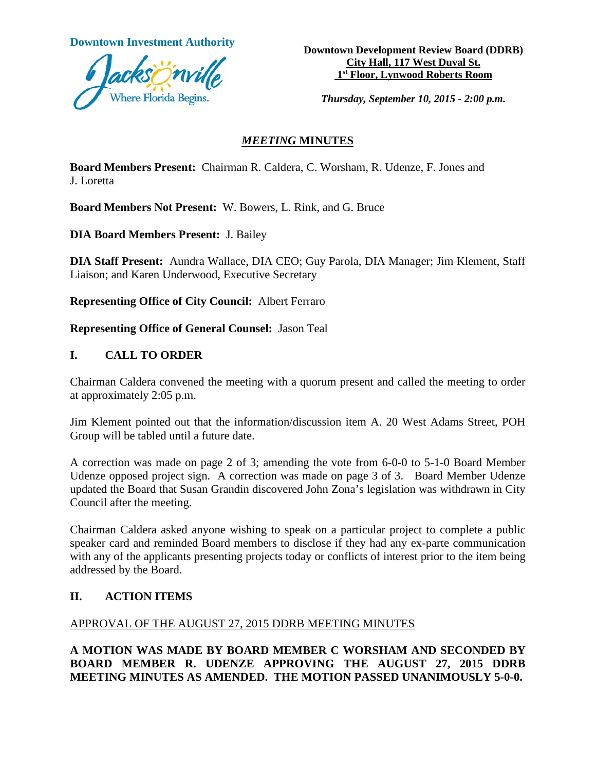

**Downtown Investment Authority Downtown Development Review Board (DDRB) City Hall, 117 West Duval St. 1st Floor, Lynwood Roberts Room**

*Thursday, September 10, 2015 - 2:00 p.m.*

### *MEETING* **MINUTES**

**Board Members Present:** Chairman R. Caldera, C. Worsham, R. Udenze, F. Jones and J. Loretta

**Board Members Not Present:** W. Bowers, L. Rink, and G. Bruce

**DIA Board Members Present:** J. Bailey

**DIA Staff Present:** Aundra Wallace, DIA CEO; Guy Parola, DIA Manager; Jim Klement, Staff Liaison; and Karen Underwood, Executive Secretary

**Representing Office of City Council:** Albert Ferraro

**Representing Office of General Counsel:** Jason Teal

#### **I. CALL TO ORDER**

Chairman Caldera convened the meeting with a quorum present and called the meeting to order at approximately 2:05 p.m.

Jim Klement pointed out that the information/discussion item A. 20 West Adams Street, POH Group will be tabled until a future date.

A correction was made on page 2 of 3; amending the vote from 6-0-0 to 5-1-0 Board Member Udenze opposed project sign. A correction was made on page 3 of 3. Board Member Udenze updated the Board that Susan Grandin discovered John Zona's legislation was withdrawn in City Council after the meeting.

Chairman Caldera asked anyone wishing to speak on a particular project to complete a public speaker card and reminded Board members to disclose if they had any ex-parte communication with any of the applicants presenting projects today or conflicts of interest prior to the item being addressed by the Board.

# **II. ACTION ITEMS**

#### APPROVAL OF THE AUGUST 27, 2015 DDRB MEETING MINUTES

**A MOTION WAS MADE BY BOARD MEMBER C WORSHAM AND SECONDED BY BOARD MEMBER R. UDENZE APPROVING THE AUGUST 27, 2015 DDRB MEETING MINUTES AS AMENDED. THE MOTION PASSED UNANIMOUSLY 5-0-0.**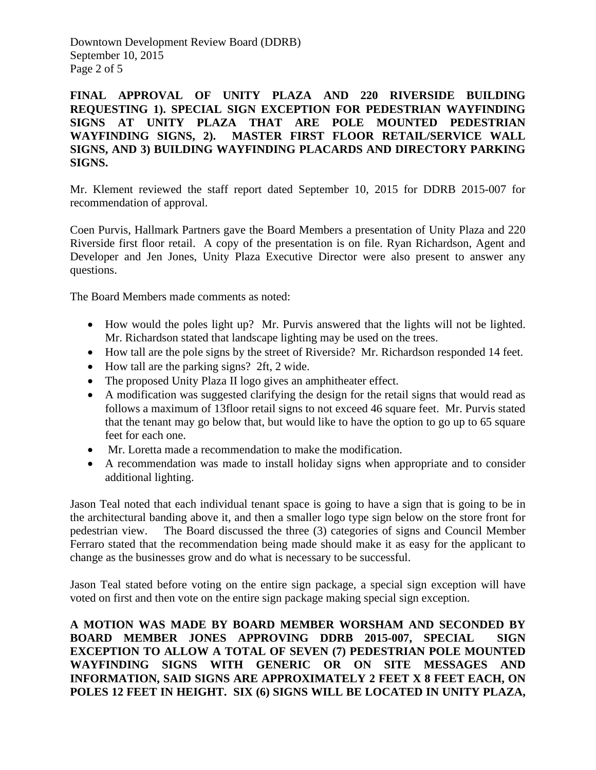Downtown Development Review Board (DDRB) September 10, 2015 Page 2 of 5

**FINAL APPROVAL OF UNITY PLAZA AND 220 RIVERSIDE BUILDING REQUESTING 1). SPECIAL SIGN EXCEPTION FOR PEDESTRIAN WAYFINDING SIGNS AT UNITY PLAZA THAT ARE POLE MOUNTED PEDESTRIAN WAYFINDING SIGNS, 2). MASTER FIRST FLOOR RETAIL/SERVICE WALL SIGNS, AND 3) BUILDING WAYFINDING PLACARDS AND DIRECTORY PARKING SIGNS.** 

Mr. Klement reviewed the staff report dated September 10, 2015 for DDRB 2015-007 for recommendation of approval.

Coen Purvis, Hallmark Partners gave the Board Members a presentation of Unity Plaza and 220 Riverside first floor retail. A copy of the presentation is on file. Ryan Richardson, Agent and Developer and Jen Jones, Unity Plaza Executive Director were also present to answer any questions.

The Board Members made comments as noted:

- How would the poles light up? Mr. Purvis answered that the lights will not be lighted. Mr. Richardson stated that landscape lighting may be used on the trees.
- How tall are the pole signs by the street of Riverside? Mr. Richardson responded 14 feet.
- How tall are the parking signs? 2ft, 2 wide.
- The proposed Unity Plaza II logo gives an amphitheater effect.
- A modification was suggested clarifying the design for the retail signs that would read as follows a maximum of 13floor retail signs to not exceed 46 square feet. Mr. Purvis stated that the tenant may go below that, but would like to have the option to go up to 65 square feet for each one.
- Mr. Loretta made a recommendation to make the modification.
- A recommendation was made to install holiday signs when appropriate and to consider additional lighting.

Jason Teal noted that each individual tenant space is going to have a sign that is going to be in the architectural banding above it, and then a smaller logo type sign below on the store front for pedestrian view. The Board discussed the three (3) categories of signs and Council Member Ferraro stated that the recommendation being made should make it as easy for the applicant to change as the businesses grow and do what is necessary to be successful.

Jason Teal stated before voting on the entire sign package, a special sign exception will have voted on first and then vote on the entire sign package making special sign exception.

**A MOTION WAS MADE BY BOARD MEMBER WORSHAM AND SECONDED BY BOARD MEMBER JONES APPROVING DDRB 2015-007, SPECIAL SIGN EXCEPTION TO ALLOW A TOTAL OF SEVEN (7) PEDESTRIAN POLE MOUNTED WAYFINDING SIGNS WITH GENERIC OR ON SITE MESSAGES AND INFORMATION, SAID SIGNS ARE APPROXIMATELY 2 FEET X 8 FEET EACH, ON POLES 12 FEET IN HEIGHT. SIX (6) SIGNS WILL BE LOCATED IN UNITY PLAZA,**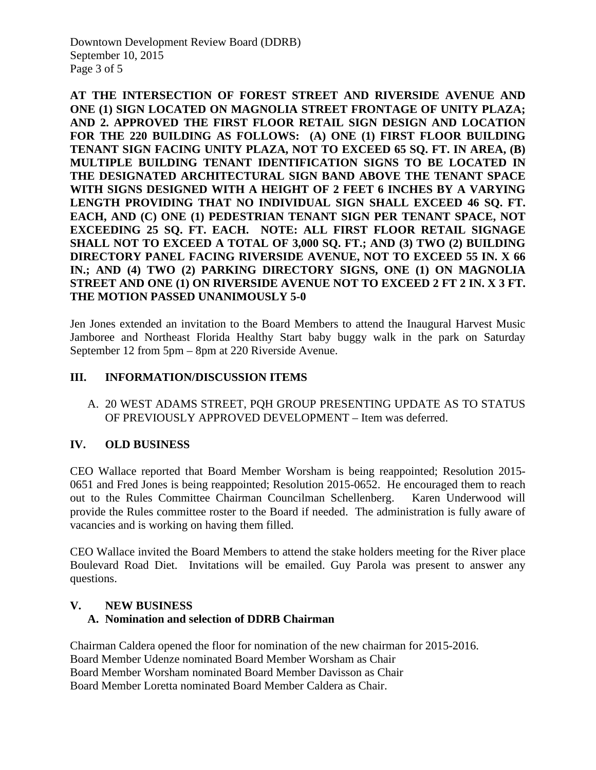Downtown Development Review Board (DDRB) September 10, 2015 Page 3 of 5

**AT THE INTERSECTION OF FOREST STREET AND RIVERSIDE AVENUE AND ONE (1) SIGN LOCATED ON MAGNOLIA STREET FRONTAGE OF UNITY PLAZA; AND 2. APPROVED THE FIRST FLOOR RETAIL SIGN DESIGN AND LOCATION FOR THE 220 BUILDING AS FOLLOWS: (A) ONE (1) FIRST FLOOR BUILDING TENANT SIGN FACING UNITY PLAZA, NOT TO EXCEED 65 SQ. FT. IN AREA, (B) MULTIPLE BUILDING TENANT IDENTIFICATION SIGNS TO BE LOCATED IN THE DESIGNATED ARCHITECTURAL SIGN BAND ABOVE THE TENANT SPACE WITH SIGNS DESIGNED WITH A HEIGHT OF 2 FEET 6 INCHES BY A VARYING LENGTH PROVIDING THAT NO INDIVIDUAL SIGN SHALL EXCEED 46 SQ. FT. EACH, AND (C) ONE (1) PEDESTRIAN TENANT SIGN PER TENANT SPACE, NOT EXCEEDING 25 SQ. FT. EACH. NOTE: ALL FIRST FLOOR RETAIL SIGNAGE SHALL NOT TO EXCEED A TOTAL OF 3,000 SQ. FT.; AND (3) TWO (2) BUILDING DIRECTORY PANEL FACING RIVERSIDE AVENUE, NOT TO EXCEED 55 IN. X 66 IN.; AND (4) TWO (2) PARKING DIRECTORY SIGNS, ONE (1) ON MAGNOLIA STREET AND ONE (1) ON RIVERSIDE AVENUE NOT TO EXCEED 2 FT 2 IN. X 3 FT. THE MOTION PASSED UNANIMOUSLY 5-0** 

Jen Jones extended an invitation to the Board Members to attend the Inaugural Harvest Music Jamboree and Northeast Florida Healthy Start baby buggy walk in the park on Saturday September 12 from 5pm – 8pm at 220 Riverside Avenue.

#### **III. INFORMATION/DISCUSSION ITEMS**

A. 20 WEST ADAMS STREET, PQH GROUP PRESENTING UPDATE AS TO STATUS OF PREVIOUSLY APPROVED DEVELOPMENT – Item was deferred.

# **IV. OLD BUSINESS**

CEO Wallace reported that Board Member Worsham is being reappointed; Resolution 2015- 0651 and Fred Jones is being reappointed; Resolution 2015-0652. He encouraged them to reach out to the Rules Committee Chairman Councilman Schellenberg. Karen Underwood will provide the Rules committee roster to the Board if needed. The administration is fully aware of vacancies and is working on having them filled.

CEO Wallace invited the Board Members to attend the stake holders meeting for the River place Boulevard Road Diet. Invitations will be emailed. Guy Parola was present to answer any questions.

#### **V. NEW BUSINESS A. Nomination and selection of DDRB Chairman**

Chairman Caldera opened the floor for nomination of the new chairman for 2015-2016. Board Member Udenze nominated Board Member Worsham as Chair Board Member Worsham nominated Board Member Davisson as Chair Board Member Loretta nominated Board Member Caldera as Chair.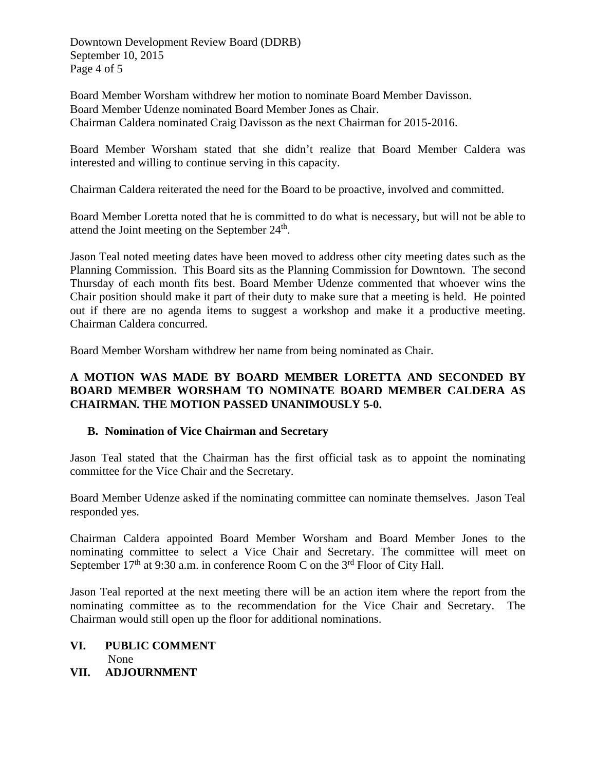Downtown Development Review Board (DDRB) September 10, 2015 Page 4 of 5

Board Member Worsham withdrew her motion to nominate Board Member Davisson. Board Member Udenze nominated Board Member Jones as Chair. Chairman Caldera nominated Craig Davisson as the next Chairman for 2015-2016.

Board Member Worsham stated that she didn't realize that Board Member Caldera was interested and willing to continue serving in this capacity.

Chairman Caldera reiterated the need for the Board to be proactive, involved and committed.

Board Member Loretta noted that he is committed to do what is necessary, but will not be able to attend the Joint meeting on the September  $24<sup>th</sup>$ .

Jason Teal noted meeting dates have been moved to address other city meeting dates such as the Planning Commission. This Board sits as the Planning Commission for Downtown. The second Thursday of each month fits best. Board Member Udenze commented that whoever wins the Chair position should make it part of their duty to make sure that a meeting is held. He pointed out if there are no agenda items to suggest a workshop and make it a productive meeting. Chairman Caldera concurred.

Board Member Worsham withdrew her name from being nominated as Chair.

# **A MOTION WAS MADE BY BOARD MEMBER LORETTA AND SECONDED BY BOARD MEMBER WORSHAM TO NOMINATE BOARD MEMBER CALDERA AS CHAIRMAN. THE MOTION PASSED UNANIMOUSLY 5-0.**

# **B. Nomination of Vice Chairman and Secretary**

Jason Teal stated that the Chairman has the first official task as to appoint the nominating committee for the Vice Chair and the Secretary.

Board Member Udenze asked if the nominating committee can nominate themselves. Jason Teal responded yes.

Chairman Caldera appointed Board Member Worsham and Board Member Jones to the nominating committee to select a Vice Chair and Secretary. The committee will meet on September  $17<sup>th</sup>$  at 9:30 a.m. in conference Room C on the  $3<sup>rd</sup>$  Floor of City Hall.

Jason Teal reported at the next meeting there will be an action item where the report from the nominating committee as to the recommendation for the Vice Chair and Secretary. The Chairman would still open up the floor for additional nominations.

#### **VI. PUBLIC COMMENT** None

**VII. ADJOURNMENT**